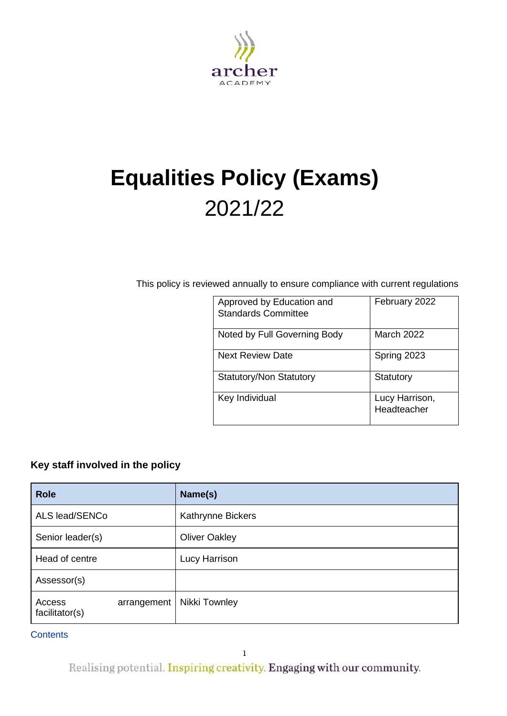

# **Equalities Policy (Exams)** 2021/22

This policy is reviewed annually to ensure compliance with current regulations

| Approved by Education and<br><b>Standards Committee</b> | February 2022                 |
|---------------------------------------------------------|-------------------------------|
| Noted by Full Governing Body                            | March 2022                    |
| <b>Next Review Date</b>                                 | Spring 2023                   |
| <b>Statutory/Non Statutory</b>                          | Statutory                     |
| Key Individual                                          | Lucy Harrison,<br>Headteacher |

## <span id="page-0-0"></span>**Key staff involved in the policy**

| <b>Role</b>              |             | Name(s)              |  |
|--------------------------|-------------|----------------------|--|
| ALS lead/SENCo           |             | Kathrynne Bickers    |  |
| Senior leader(s)         |             | <b>Oliver Oakley</b> |  |
| Head of centre           |             | Lucy Harrison        |  |
| Assessor(s)              |             |                      |  |
| Access<br>facilitator(s) | arrangement | Nikki Townley        |  |

**Contents** 

Realising potential. Inspiring creativity. Engaging with our community.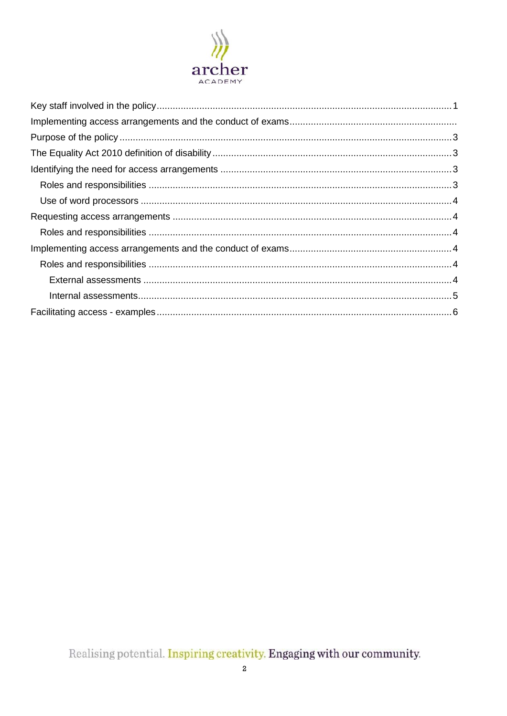

Realising potential. Inspiring creativity. Engaging with our community.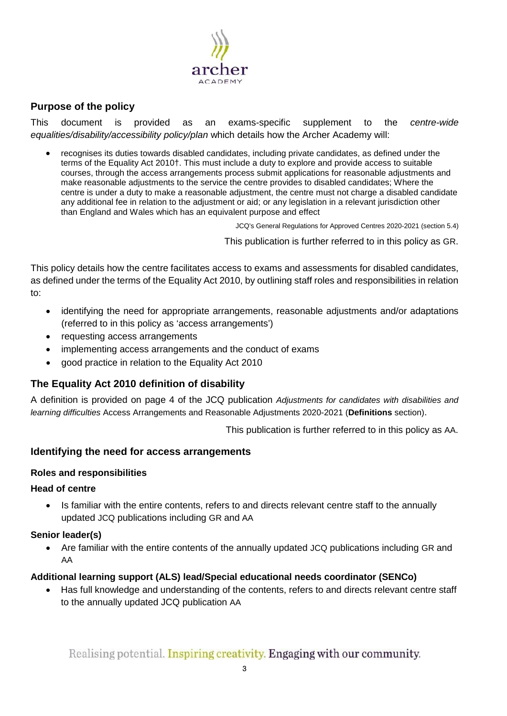

## <span id="page-2-0"></span>**Purpose of the policy**

This document is provided as an exams-specific supplement to the *centre-wide equalities/disability/accessibility policy/plan* which details how the Archer Academy will:

• recognises its duties towards disabled candidates, including private candidates, as defined under the terms of the Equality Act 2010†. This must include a duty to explore and provide access to suitable courses, through the access arrangements process submit applications for reasonable adjustments and make reasonable adjustments to the service the centre provides to disabled candidates; Where the centre is under a duty to make a reasonable adjustment, the centre must not charge a disabled candidate any additional fee in relation to the adjustment or aid; or any legislation in a relevant jurisdiction other than England and Wales which has an equivalent purpose and effect

JCQ's General Regulations for Approved Centres 2020-2021 (section 5.4)

This publication is further referred to in this policy as [GR.](http://www.jcq.org.uk/exams-office/general-regulations)

This policy details how the centre facilitates access to exams and assessments for disabled candidates, as defined under the terms of the Equality Act 2010, by outlining staff roles and responsibilities in relation to:

- identifying the need for appropriate arrangements, reasonable adjustments and/or adaptations (referred to in this policy as 'access arrangements')
- requesting access arrangements
- implementing access arrangements and the conduct of exams
- good practice in relation to the Equality Act 2010

## <span id="page-2-1"></span>**The Equality Act 2010 definition of disability**

A definition is provided on page 4 of the JCQ publication *Adjustments for candidates with disabilities and learning difficulties* Access Arrangements and Reasonable Adjustments 2020-2021 (**Definitions** section).

This publication is further referred to in this policy as [AA.](http://www.jcq.org.uk/exams-office/access-arrangements-and-special-consideration/regulations-and-guidance)

### <span id="page-2-2"></span>**Identifying the need for access arrangements**

#### <span id="page-2-3"></span>**Roles and responsibilities**

#### **Head of centre**

• Is familiar with the entire contents, refers to and directs relevant centre staff to the annually updated JCQ publications including [GR](http://www.jcq.org.uk/exams-office/general-regulations) and [AA](http://www.jcq.org.uk/exams-office/access-arrangements-and-special-consideration/regulations-and-guidance)

#### **Senior leader(s)**

• Are familiar with the entire contents of the annually updated JCQ publications including [GR](http://www.jcq.org.uk/exams-office/general-regulations) and [AA](http://www.jcq.org.uk/exams-office/access-arrangements-and-special-consideration/regulations-and-guidance)

### **Additional learning support (ALS) lead/Special educational needs coordinator (SENCo)**

• Has full knowledge and understanding of the contents, refers to and directs relevant centre staff to the annually updated JCQ publication [AA](http://www.jcq.org.uk/exams-office/access-arrangements-and-special-consideration/regulations-and-guidance)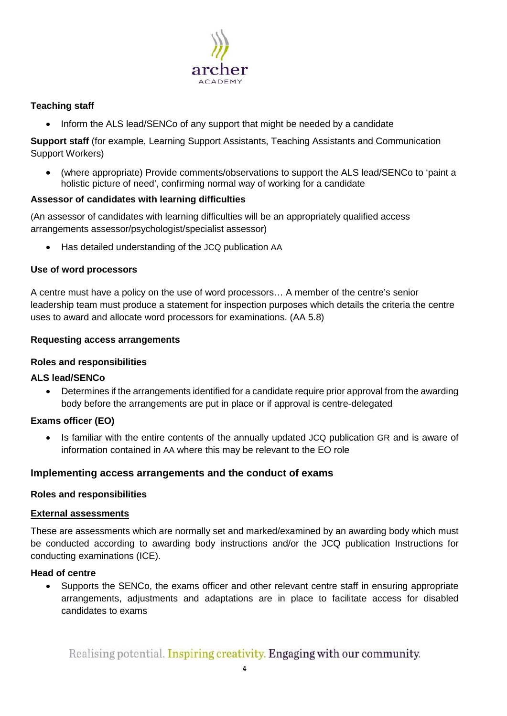

## **Teaching staff**

• Inform the ALS lead/SENCo of any support that might be needed by a candidate

**Support staff** (for example, Learning Support Assistants, Teaching Assistants and Communication Support Workers)

• (where appropriate) Provide comments/observations to support the ALS lead/SENCo to 'paint a holistic picture of need', confirming normal way of working for a candidate

## **Assessor of candidates with learning difficulties**

(An assessor of candidates with learning difficulties will be an appropriately qualified access arrangements assessor/psychologist/specialist assessor)

<span id="page-3-1"></span>• Has detailed understanding of the JCQ publication [AA](http://www.jcq.org.uk/exams-office/access-arrangements-and-special-consideration/regulations-and-guidance)

### <span id="page-3-0"></span>**Use of word processors**

A centre must have a policy on the use of word processors… A member of the centre's senior leadership team must produce a statement for inspection purposes which details the criteria the centre uses to award and allocate word processors for examinations. [\(AA](http://www.jcq.org.uk/exams-office/access-arrangements-and-special-consideration/regulations-and-guidance) 5.8)

## **Requesting access arrangements**

## <span id="page-3-2"></span>**Roles and responsibilities**

## **ALS lead/SENCo**

• Determines if the arrangements identified for a candidate require prior approval from the awarding body before the arrangements are put in place or if approval is centre-delegated

## **Exams officer (EO)**

• Is familiar with the entire contents of the annually updated JCQ publication [GR](http://www.jcq.org.uk/exams-office/general-regulations) and is aware of information contained in [AA](http://www.jcq.org.uk/exams-office/access-arrangements-and-special-consideration/regulations-and-guidance) where this may be relevant to the EO role

## <span id="page-3-3"></span>**Implementing access arrangements and the conduct of exams**

### <span id="page-3-4"></span>**Roles and responsibilities**

### <span id="page-3-5"></span>**External assessments**

These are assessments which are normally set and marked/examined by an awarding body which must be conducted according to awarding body instructions and/or the JCQ publication [Instructions for](http://www.jcq.org.uk/exams-office/ice---instructions-for-conducting-examinations)  [conducting examinations](http://www.jcq.org.uk/exams-office/ice---instructions-for-conducting-examinations) (ICE).

### **Head of centre**

• Supports the SENCo, the exams officer and other relevant centre staff in ensuring appropriate arrangements, adjustments and adaptations are in place to facilitate access for disabled candidates to exams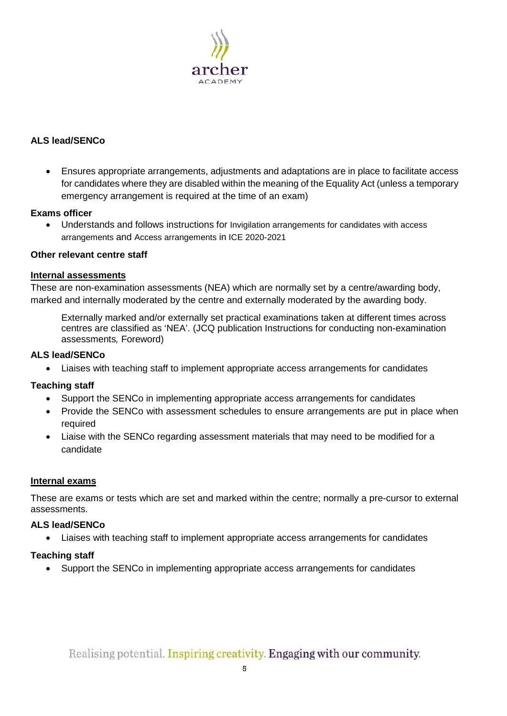

## **ALS lead/SENCo**

• Ensures appropriate arrangements, adjustments and adaptations are in place to facilitate access for candidates where they are disabled within the meaning of the Equality Act (unless a temporary emergency arrangement is required at the time of an exam)

## **Exams officer**

• Understands and follows instructions for Invigilation arrangements for candidates with access arrangements and Access arrangements in [ICE](http://www.jcq.org.uk/exams-office/ice---instructions-for-conducting-examinations) 2020-2021

## **Other relevant centre staff**

### <span id="page-4-0"></span>**Internal assessments**

These are non-examination assessments (NEA) which are normally set by a centre/awarding body, marked and internally moderated by the centre and externally moderated by the awarding body.

Externally marked and/or externally set practical examinations taken at different times across centres are classified as 'NEA'. (JCQ publication [Instructions for conducting non-examination](http://www.jcq.org.uk/exams-office/non-examination-assessments)  [assessments](http://www.jcq.org.uk/exams-office/non-examination-assessments)*,* Foreword)

### **ALS lead/SENCo**

• Liaises with teaching staff to implement appropriate access arrangements for candidates

## **Teaching staff**

- Support the SENCo in implementing appropriate access arrangements for candidates
- Provide the SENCo with assessment schedules to ensure arrangements are put in place when required
- Liaise with the SENCo regarding assessment materials that may need to be modified for a candidate

## **Internal exams**

These are exams or tests which are set and marked within the centre; normally a pre-cursor to external assessments.

### **ALS lead/SENCo**

• Liaises with teaching staff to implement appropriate access arrangements for candidates

## **Teaching staff**

• Support the SENCo in implementing appropriate access arrangements for candidates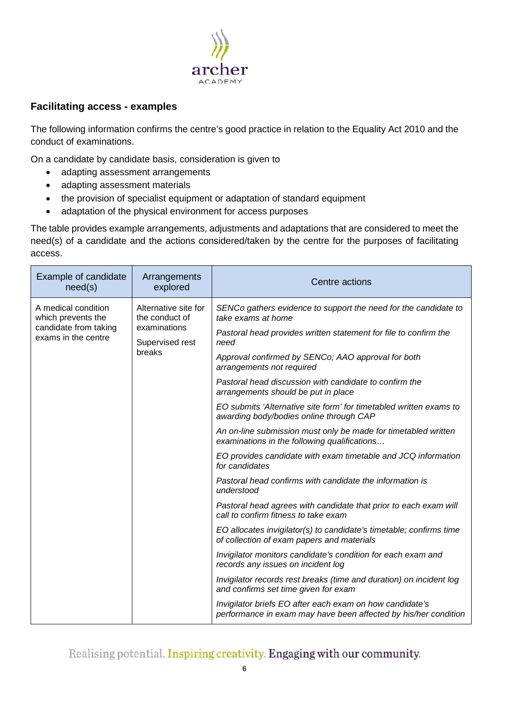

## <span id="page-5-0"></span>**Facilitating access - examples**

The following information confirms the centre's good practice in relation to the Equality Act 2010 and the conduct of examinations.

On a candidate by candidate basis, consideration is given to

- adapting assessment arrangements
- adapting assessment materials
- the provision of specialist equipment or adaptation of standard equipment
- adaptation of the physical environment for access purposes

The table provides example arrangements, adjustments and adaptations that are considered to meet the need(s) of a candidate and the actions considered/taken by the centre for the purposes of facilitating access.

| Example of candidate<br>need(s)                                                           | Arrangements<br>explored                                                            | Centre actions                                                                                                                                                                                                                                                                                                                                                                                                                                                                                                                                                                                                                                                                                                                                                                                                                                                                                                                                                                                                                                                                                                                                                                                              |
|-------------------------------------------------------------------------------------------|-------------------------------------------------------------------------------------|-------------------------------------------------------------------------------------------------------------------------------------------------------------------------------------------------------------------------------------------------------------------------------------------------------------------------------------------------------------------------------------------------------------------------------------------------------------------------------------------------------------------------------------------------------------------------------------------------------------------------------------------------------------------------------------------------------------------------------------------------------------------------------------------------------------------------------------------------------------------------------------------------------------------------------------------------------------------------------------------------------------------------------------------------------------------------------------------------------------------------------------------------------------------------------------------------------------|
| A medical condition<br>which prevents the<br>candidate from taking<br>exams in the centre | Alternative site for<br>the conduct of<br>examinations<br>Supervised rest<br>breaks | SENCo gathers evidence to support the need for the candidate to<br>take exams at home<br>Pastoral head provides written statement for file to confirm the<br>need<br>Approval confirmed by SENCo; AAO approval for both<br>arrangements not required<br>Pastoral head discussion with candidate to confirm the<br>arrangements should be put in place<br>EO submits 'Alternative site form' for timetabled written exams to<br>awarding body/bodies online through CAP<br>An on-line submission must only be made for timetabled written<br>examinations in the following qualifications<br>EO provides candidate with exam timetable and JCQ information<br>for candidates<br>Pastoral head confirms with candidate the information is<br>understood<br>Pastoral head agrees with candidate that prior to each exam will<br>call to confirm fitness to take exam<br>EO allocates invigilator(s) to candidate's timetable; confirms time<br>of collection of exam papers and materials<br>Invigilator monitors candidate's condition for each exam and<br>records any issues on incident log<br>Invigilator records rest breaks (time and duration) on incident log<br>and confirms set time given for exam |
|                                                                                           |                                                                                     | Invigilator briefs EO after each exam on how candidate's<br>performance in exam may have been affected by his/her condition                                                                                                                                                                                                                                                                                                                                                                                                                                                                                                                                                                                                                                                                                                                                                                                                                                                                                                                                                                                                                                                                                 |

Realising potential. Inspiring creativity. Engaging with our community.